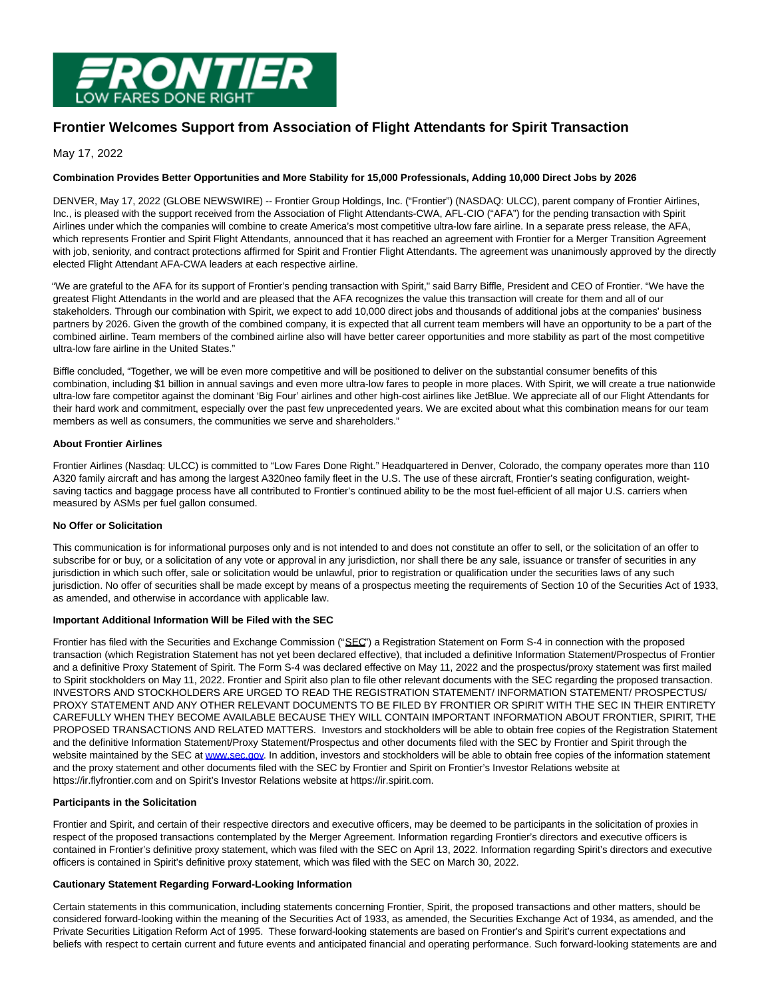

# **Frontier Welcomes Support from Association of Flight Attendants for Spirit Transaction**

May 17, 2022

## **Combination Provides Better Opportunities and More Stability for 15,000 Professionals, Adding 10,000 Direct Jobs by 2026**

DENVER, May 17, 2022 (GLOBE NEWSWIRE) -- Frontier Group Holdings, Inc. ("Frontier") (NASDAQ: ULCC), parent company of Frontier Airlines, Inc., is pleased with the support received from the Association of Flight Attendants-CWA, AFL-CIO ("AFA") for the pending transaction with Spirit Airlines under which the companies will combine to create America's most competitive ultra-low fare airline. In a separate press release, the AFA, which represents Frontier and Spirit Flight Attendants, announced that it has reached an agreement with Frontier for a Merger Transition Agreement with job, seniority, and contract protections affirmed for Spirit and Frontier Flight Attendants. The agreement was unanimously approved by the directly elected Flight Attendant AFA-CWA leaders at each respective airline.

"We are grateful to the AFA for its support of Frontier's pending transaction with Spirit," said Barry Biffle, President and CEO of Frontier. "We have the greatest Flight Attendants in the world and are pleased that the AFA recognizes the value this transaction will create for them and all of our stakeholders. Through our combination with Spirit, we expect to add 10,000 direct jobs and thousands of additional jobs at the companies' business partners by 2026. Given the growth of the combined company, it is expected that all current team members will have an opportunity to be a part of the combined airline. Team members of the combined airline also will have better career opportunities and more stability as part of the most competitive ultra-low fare airline in the United States."

Biffle concluded, "Together, we will be even more competitive and will be positioned to deliver on the substantial consumer benefits of this combination, including \$1 billion in annual savings and even more ultra-low fares to people in more places. With Spirit, we will create a true nationwide ultra-low fare competitor against the dominant 'Big Four' airlines and other high-cost airlines like JetBlue. We appreciate all of our Flight Attendants for their hard work and commitment, especially over the past few unprecedented years. We are excited about what this combination means for our team members as well as consumers, the communities we serve and shareholders."

### **About Frontier Airlines**

Frontier Airlines (Nasdaq: ULCC) is committed to "Low Fares Done Right." Headquartered in Denver, Colorado, the company operates more than 110 A320 family aircraft and has among the largest A320neo family fleet in the U.S. The use of these aircraft, Frontier's seating configuration, weightsaving tactics and baggage process have all contributed to Frontier's continued ability to be the most fuel-efficient of all major U.S. carriers when measured by ASMs per fuel gallon consumed.

### **No Offer or Solicitation**

This communication is for informational purposes only and is not intended to and does not constitute an offer to sell, or the solicitation of an offer to subscribe for or buy, or a solicitation of any vote or approval in any jurisdiction, nor shall there be any sale, issuance or transfer of securities in any jurisdiction in which such offer, sale or solicitation would be unlawful, prior to registration or qualification under the securities laws of any such jurisdiction. No offer of securities shall be made except by means of a prospectus meeting the requirements of Section 10 of the Securities Act of 1933, as amended, and otherwise in accordance with applicable law.

### **Important Additional Information Will be Filed with the SEC**

Frontier has filed with the Securities and Exchange Commission ("SEC") a Registration Statement on Form S-4 in connection with the proposed transaction (which Registration Statement has not yet been declared effective), that included a definitive Information Statement/Prospectus of Frontier and a definitive Proxy Statement of Spirit. The Form S-4 was declared effective on May 11, 2022 and the prospectus/proxy statement was first mailed to Spirit stockholders on May 11, 2022. Frontier and Spirit also plan to file other relevant documents with the SEC regarding the proposed transaction. INVESTORS AND STOCKHOLDERS ARE URGED TO READ THE REGISTRATION STATEMENT/ INFORMATION STATEMENT/ PROSPECTUS/ PROXY STATEMENT AND ANY OTHER RELEVANT DOCUMENTS TO BE FILED BY FRONTIER OR SPIRIT WITH THE SEC IN THEIR ENTIRETY CAREFULLY WHEN THEY BECOME AVAILABLE BECAUSE THEY WILL CONTAIN IMPORTANT INFORMATION ABOUT FRONTIER, SPIRIT, THE PROPOSED TRANSACTIONS AND RELATED MATTERS. Investors and stockholders will be able to obtain free copies of the Registration Statement and the definitive Information Statement/Proxy Statement/Prospectus and other documents filed with the SEC by Frontier and Spirit through the website maintained by the SEC at [www.sec.gov.](https://www.globenewswire.com/Tracker?data=fACmOMkYhPFnoUwP39unFd6Fr0hmTE5Nyn2kgyPz12ZUs4ETdJ9WwxyHXsdiH1130Ja6-_zJfr_gvMv_w3MSsQ==) In addition, investors and stockholders will be able to obtain free copies of the information statement and the proxy statement and other documents filed with the SEC by Frontier and Spirit on Frontier's Investor Relations website at https://ir.flyfrontier.com and on Spirit's Investor Relations website at https://ir.spirit.com.

### **Participants in the Solicitation**

Frontier and Spirit, and certain of their respective directors and executive officers, may be deemed to be participants in the solicitation of proxies in respect of the proposed transactions contemplated by the Merger Agreement. Information regarding Frontier's directors and executive officers is contained in Frontier's definitive proxy statement, which was filed with the SEC on April 13, 2022. Information regarding Spirit's directors and executive officers is contained in Spirit's definitive proxy statement, which was filed with the SEC on March 30, 2022.

### **Cautionary Statement Regarding Forward-Looking Information**

Certain statements in this communication, including statements concerning Frontier, Spirit, the proposed transactions and other matters, should be considered forward-looking within the meaning of the Securities Act of 1933, as amended, the Securities Exchange Act of 1934, as amended, and the Private Securities Litigation Reform Act of 1995. These forward-looking statements are based on Frontier's and Spirit's current expectations and beliefs with respect to certain current and future events and anticipated financial and operating performance. Such forward-looking statements are and